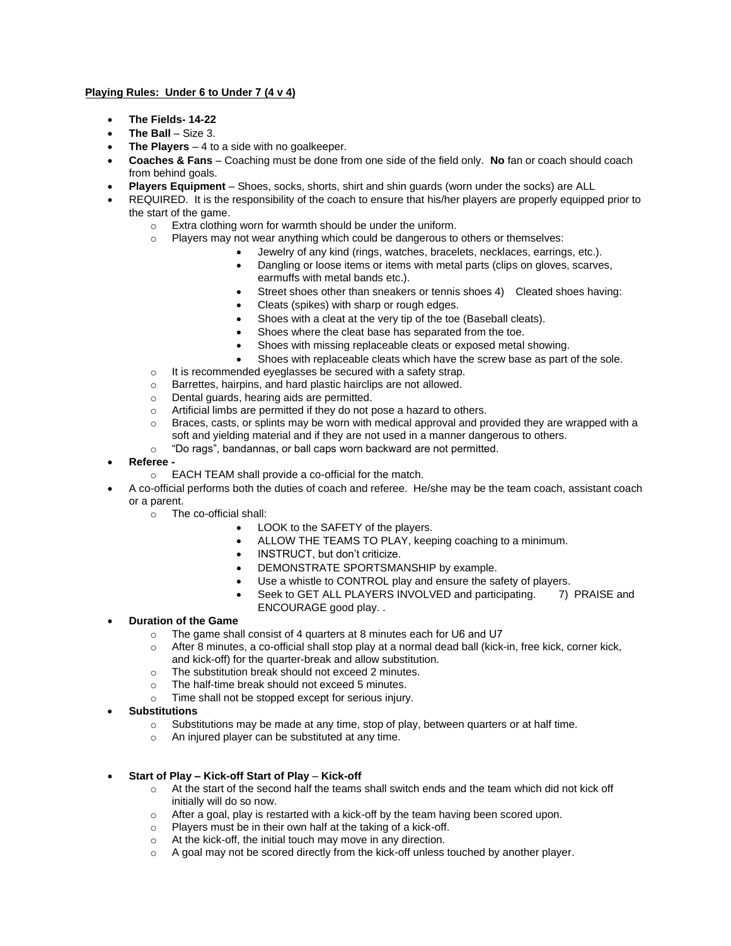## **Playing Rules: Under 6 to Under 7 (4 v 4)**

- **The Fields- 14-22**
- **The Ball** Size 3.
- **The Players** 4 to a side with no goalkeeper.
- **Coaches & Fans**  Coaching must be done from one side of the field only. **No** fan or coach should coach from behind goals.
- **Players Equipment** Shoes, socks, shorts, shirt and shin guards (worn under the socks) are ALL
- REQUIRED. It is the responsibility of the coach to ensure that his/her players are properly equipped prior to the start of the game.
	- o Extra clothing worn for warmth should be under the uniform.
	- o Players may not wear anything which could be dangerous to others or themselves:
		- Jewelry of any kind (rings, watches, bracelets, necklaces, earrings, etc.).
			- Dangling or loose items or items with metal parts (clips on gloves, scarves, earmuffs with metal bands etc.).
			- Street shoes other than sneakers or tennis shoes 4) Cleated shoes having:
			- Cleats (spikes) with sharp or rough edges.
			- Shoes with a cleat at the very tip of the toe (Baseball cleats).
			- Shoes where the cleat base has separated from the toe.
			- Shoes with missing replaceable cleats or exposed metal showing.
			- Shoes with replaceable cleats which have the screw base as part of the sole.
	- $\circ$  It is recommended eyeglasses be secured with a safety strap.
	- o Barrettes, hairpins, and hard plastic hairclips are not allowed.
	- o Dental guards, hearing aids are permitted.
	- o Artificial limbs are permitted if they do not pose a hazard to others.
	- $\circ$  Braces, casts, or splints may be worn with medical approval and provided they are wrapped with a soft and yielding material and if they are not used in a manner dangerous to others.
	- o "Do rags", bandannas, or ball caps worn backward are not permitted.
- **Referee** 
	- o EACH TEAM shall provide a co-official for the match.
- A co-official performs both the duties of coach and referee. He/she may be the team coach, assistant coach or a parent.
	- o The co-official shall:
		- LOOK to the SAFETY of the players.
			- ALLOW THE TEAMS TO PLAY, keeping coaching to a minimum.
		- INSTRUCT, but don't criticize.
		- DEMONSTRATE SPORTSMANSHIP by example.
		- Use a whistle to CONTROL play and ensure the safety of players.
		- Seek to GET ALL PLAYERS INVOLVED and participating. 7) PRAISE and ENCOURAGE good play. .

## • **Duration of the Game**

- o The game shall consist of 4 quarters at 8 minutes each for U6 and U7
- o After 8 minutes, a co-official shall stop play at a normal dead ball (kick-in, free kick, corner kick, and kick-off) for the quarter-break and allow substitution.
- o The substitution break should not exceed 2 minutes.
- o The half-time break should not exceed 5 minutes.
- o Time shall not be stopped except for serious injury.
- **Substitutions**
	- $\circ$  Substitutions may be made at any time, stop of play, between quarters or at half time.
	- o An injured player can be substituted at any time.
- **Start of Play – Kick-off Start of Play Kick-off**
	- $\circ$  At the start of the second half the teams shall switch ends and the team which did not kick off initially will do so now.
	- o After a goal, play is restarted with a kick-off by the team having been scored upon.
	- o Players must be in their own half at the taking of a kick-off.
	- o At the kick-off, the initial touch may move in any direction.
	- $\circ$  A goal may not be scored directly from the kick-off unless touched by another player.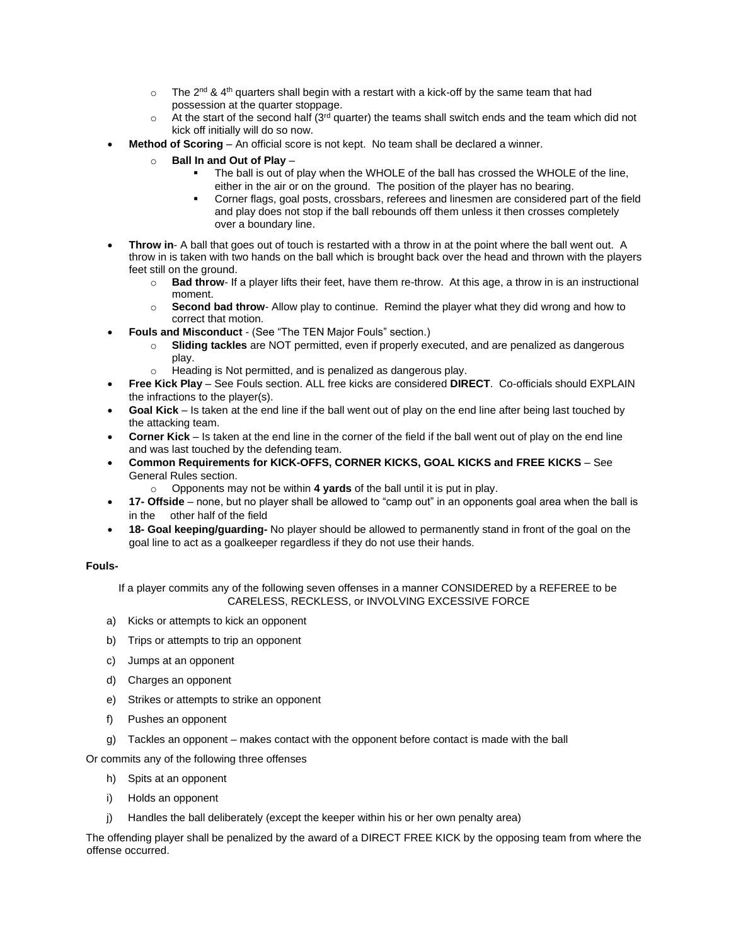- $\circ$  The 2<sup>nd</sup> & 4<sup>th</sup> quarters shall begin with a restart with a kick-off by the same team that had possession at the quarter stoppage.
- $\circ$  At the start of the second half (3<sup>rd</sup> quarter) the teams shall switch ends and the team which did not kick off initially will do so now.
- **Method of Scoring**  An official score is not kept. No team shall be declared a winner.
	- o **Ball In and Out of Play**
		- The ball is out of play when the WHOLE of the ball has crossed the WHOLE of the line. either in the air or on the ground. The position of the player has no bearing.
		- Corner flags, goal posts, crossbars, referees and linesmen are considered part of the field and play does not stop if the ball rebounds off them unless it then crosses completely over a boundary line.
- **Throw in-** A ball that goes out of touch is restarted with a throw in at the point where the ball went out. A throw in is taken with two hands on the ball which is brought back over the head and thrown with the players feet still on the ground.
	- o **Bad throw** If a player lifts their feet, have them re-throw. At this age, a throw in is an instructional moment.
	- o **Second bad throw** Allow play to continue. Remind the player what they did wrong and how to correct that motion.
- **Fouls and Misconduct**  (See "The TEN Major Fouls" section.)
	- o **Sliding tackles** are NOT permitted, even if properly executed, and are penalized as dangerous play.
	- o Heading is Not permitted, and is penalized as dangerous play.
- **Free Kick Play** See Fouls section. ALL free kicks are considered **DIRECT**. Co-officials should EXPLAIN the infractions to the player(s).
- **Goal Kick** Is taken at the end line if the ball went out of play on the end line after being last touched by the attacking team.
- **Corner Kick**  Is taken at the end line in the corner of the field if the ball went out of play on the end line and was last touched by the defending team.
- **Common Requirements for KICK-OFFS, CORNER KICKS, GOAL KICKS and FREE KICKS** See General Rules section.
	- o Opponents may not be within **4 yards** of the ball until it is put in play.
- **17- Offside** none, but no player shall be allowed to "camp out" in an opponents goal area when the ball is in the other half of the field
- **18- Goal keeping/guarding-** No player should be allowed to permanently stand in front of the goal on the goal line to act as a goalkeeper regardless if they do not use their hands.

## **Fouls-**

If a player commits any of the following seven offenses in a manner CONSIDERED by a REFEREE to be CARELESS, RECKLESS, or INVOLVING EXCESSIVE FORCE

- a) Kicks or attempts to kick an opponent
- b) Trips or attempts to trip an opponent
- c) Jumps at an opponent
- d) Charges an opponent
- e) Strikes or attempts to strike an opponent
- f) Pushes an opponent
- g) Tackles an opponent makes contact with the opponent before contact is made with the ball

Or commits any of the following three offenses

- h) Spits at an opponent
- i) Holds an opponent
- j) Handles the ball deliberately (except the keeper within his or her own penalty area)

The offending player shall be penalized by the award of a DIRECT FREE KICK by the opposing team from where the offense occurred.